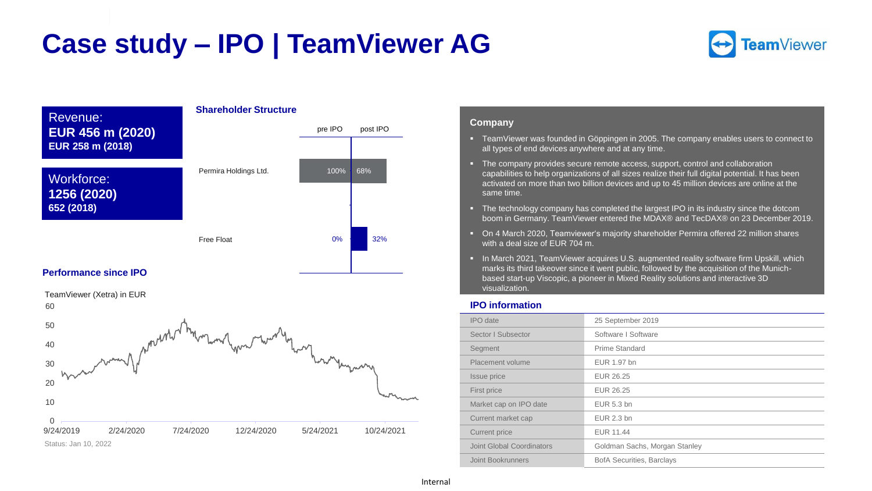# **Case study – IPO | TeamViewer AG**





### **Performance since IPO**

0 10 20 30 40 50 60 9/24/2019 2/24/2020 7/24/2020 12/24/2020 5/24/2021 10/24/2021 TeamViewer (Xetra) in EUR Status: Jan 10, 2022

#### **Company**

- TeamViewer was founded in Göppingen in 2005. The company enables users to connect to all types of end devices anywhere and at any time.
- The company provides secure remote access, support, control and collaboration capabilities to help organizations of all sizes realize their full digital potential. It has been activated on more than two billion devices and up to 45 million devices are online at the same time.
- The technology company has completed the largest IPO in its industry since the dotcom boom in Germany. TeamViewer entered the MDAX® and TecDAX® on 23 December 2019.
- On 4 March 2020, Teamviewer's majority shareholder Permira offered 22 million shares with a deal size of EUR 704 m.
- In March 2021, TeamViewer acquires U.S. augmented reality software firm Upskill, which marks its third takeover since it went public, followed by the acquisition of the Munichbased start-up Viscopic, a pioneer in Mixed Reality solutions and interactive 3D visualization.

#### **IPO information**

| <b>IPO</b> date           | 25 September 2019                |
|---------------------------|----------------------------------|
| Sector I Subsector        | Software I Software              |
| Segment                   | Prime Standard                   |
| Placement volume          | EUR 1.97 bn                      |
| Issue price               | EUR 26.25                        |
| First price               | EUR 26.25                        |
| Market cap on IPO date    | EUR 5.3 bn                       |
| Current market cap        | EUR 2.3 bn                       |
| Current price             | EUR 11.44                        |
| Joint Global Coordinators | Goldman Sachs, Morgan Stanley    |
| Joint Bookrunners         | <b>BofA Securities, Barclays</b> |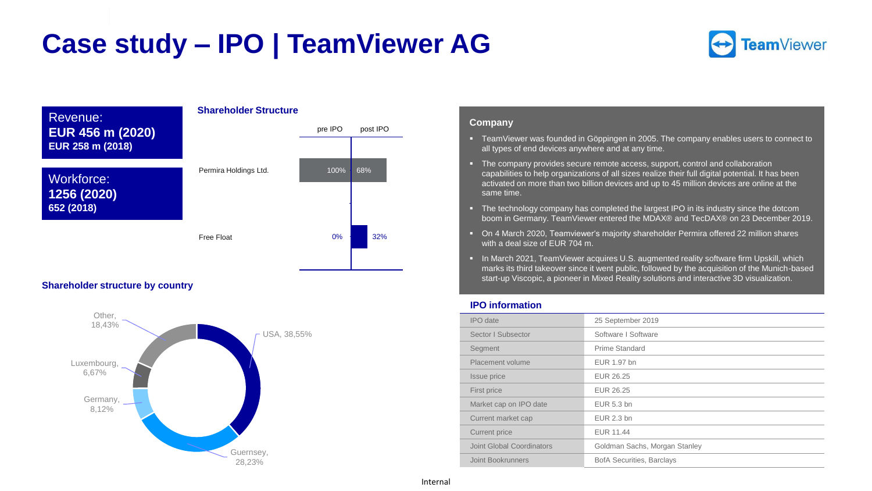# **Case study – IPO | TeamViewer AG**





### **Shareholder structure by country**



#### **Company**

- TeamViewer was founded in Göppingen in 2005. The company enables users to connect to all types of end devices anywhere and at any time.
- **E** The company provides secure remote access, support, control and collaboration capabilities to help organizations of all sizes realize their full digital potential. It has been activated on more than two billion devices and up to 45 million devices are online at the same time.
- The technology company has completed the largest IPO in its industry since the dotcom boom in Germany. TeamViewer entered the MDAX® and TecDAX® on 23 December 2019.
- On 4 March 2020, Teamviewer's majority shareholder Permira offered 22 million shares with a deal size of EUR 704 m.
- **.** In March 2021, TeamViewer acquires U.S. augmented reality software firm Upskill, which marks its third takeover since it went public, followed by the acquisition of the Munich-based start-up Viscopic, a pioneer in Mixed Reality solutions and interactive 3D visualization.

#### **IPO information**

| 25 September 2019                |
|----------------------------------|
| Software I Software              |
| Prime Standard                   |
| EUR 1.97 bn                      |
| EUR 26.25                        |
| EUR 26.25                        |
| EUR 5.3 bn                       |
| EUR 2.3 bn                       |
| EUR 11.44                        |
| Goldman Sachs, Morgan Stanley    |
| <b>BofA Securities, Barclays</b> |
|                                  |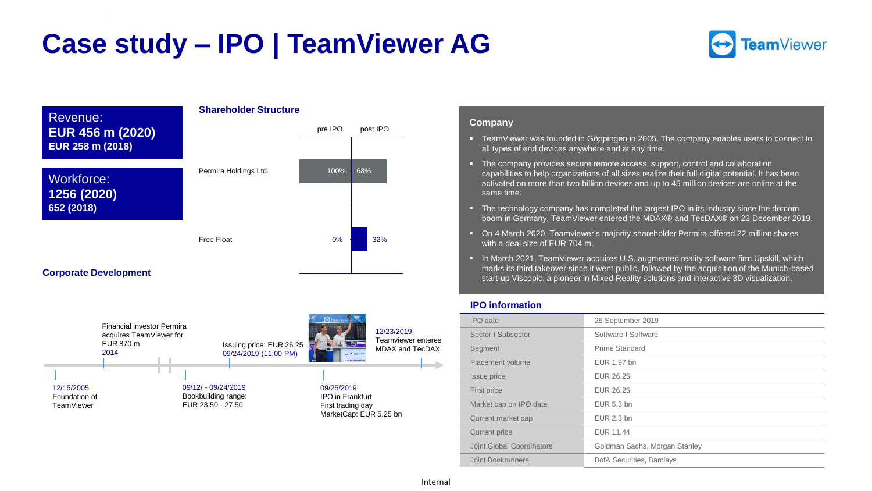# **Case study – IPO | TeamViewer AG**





09/12/ - 09/24/2019 Bookbuilding range: EUR 23.50 - 27.50

Issuing price: EUR 26.25 09/24/2019 (11:00 PM)

> 09/25/2019 IPO in Frankfurt First trading day MarketCap: EUR 5.25 bn

EUR 870 m 2014

12/15/2005 Foundation of TeamViewer

### **Company**

- TeamViewer was founded in Göppingen in 2005. The company enables users to connect to all types of end devices anywhere and at any time.
- **E** The company provides secure remote access, support, control and collaboration capabilities to help organizations of all sizes realize their full digital potential. It has been activated on more than two billion devices and up to 45 million devices are online at the same time.
- The technology company has completed the largest IPO in its industry since the dotcom boom in Germany. TeamViewer entered the MDAX® and TecDAX® on 23 December 2019.
- On 4 March 2020, Teamviewer's majority shareholder Permira offered 22 million shares with a deal size of EUR 704 m.
- **•** In March 2021, TeamViewer acquires U.S. augmented reality software firm Upskill, which marks its third takeover since it went public, followed by the acquisition of the Munich-based start-up Viscopic, a pioneer in Mixed Reality solutions and interactive 3D visualization.

#### **IPO information**

| <b>IPO</b> date           | 25 September 2019                |
|---------------------------|----------------------------------|
| Sector I Subsector        | Software I Software              |
| Segment                   | Prime Standard                   |
| Placement volume          | EUR 1.97 bn                      |
| Issue price               | EUR 26.25                        |
| First price               | EUR 26.25                        |
| Market cap on IPO date    | EUR 5.3 bn                       |
| Current market cap        | EUR 2.3 bn                       |
| Current price             | <b>EUR 11.44</b>                 |
| Joint Global Coordinators | Goldman Sachs, Morgan Stanley    |
| Joint Bookrunners         | <b>BofA Securities, Barclays</b> |

Teamviewer enteres MDAX and TecDAX